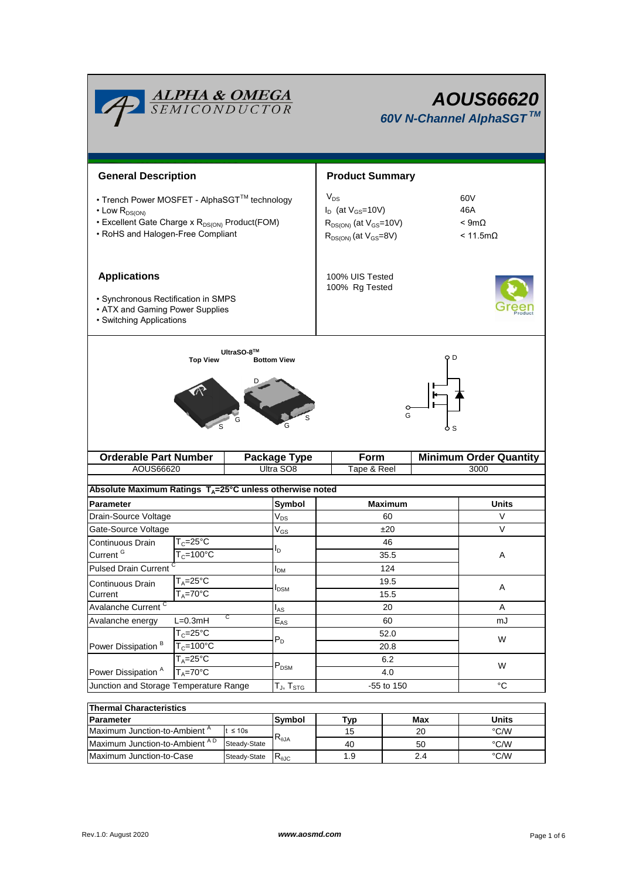| <b>ALPHA &amp; OMEGA</b><br>SEMICONDUCTOR                                                                                                                                   |                                                         |                            |                            | <b>AOUS66620</b><br>60V N-Channel AlphaSGT™                                                                                                                        |                               |       |  |  |
|-----------------------------------------------------------------------------------------------------------------------------------------------------------------------------|---------------------------------------------------------|----------------------------|----------------------------|--------------------------------------------------------------------------------------------------------------------------------------------------------------------|-------------------------------|-------|--|--|
| <b>General Description</b>                                                                                                                                                  |                                                         |                            |                            | <b>Product Summary</b>                                                                                                                                             |                               |       |  |  |
| • Trench Power MOSFET - AlphaSGT™ technology<br>$\cdot$ Low $R_{DS(ON)}$<br>• Excellent Gate Charge x R <sub>DS(ON)</sub> Product(FOM)<br>• RoHS and Halogen-Free Compliant |                                                         |                            |                            | $V_{DS}$<br>60V<br>$I_D$ (at $V_{GS}$ =10V)<br>46A<br>$< 9m\Omega$<br>$R_{DS(ON)}$ (at $V_{GS}$ =10V)<br>$R_{DS(ON)}$ (at $V_{GS}=8V$ )<br>$< 11.5 \text{m}\Omega$ |                               |       |  |  |
| <b>Applications</b><br>• Synchronous Rectification in SMPS<br>• ATX and Gaming Power Supplies<br>• Switching Applications                                                   |                                                         |                            |                            | 100% UIS Tested<br>100% Rg Tested                                                                                                                                  |                               |       |  |  |
| UltraSO-8™<br>o d<br><b>Top View</b><br><b>Bottom View</b><br>G                                                                                                             |                                                         |                            |                            |                                                                                                                                                                    |                               |       |  |  |
| <b>Orderable Part Number</b>                                                                                                                                                |                                                         | <b>Package Type</b>        | Form                       |                                                                                                                                                                    | <b>Minimum Order Quantity</b> |       |  |  |
| AOUS66620                                                                                                                                                                   |                                                         |                            | Ultra SO8                  | Tape & Reel                                                                                                                                                        |                               | 3000  |  |  |
| Absolute Maximum Ratings T <sub>A</sub> =25°C unless otherwise noted                                                                                                        |                                                         |                            |                            |                                                                                                                                                                    |                               |       |  |  |
| <b>Parameter</b>                                                                                                                                                            |                                                         |                            | Symbol                     | Maximum                                                                                                                                                            |                               | Units |  |  |
| Drain-Source Voltage                                                                                                                                                        |                                                         |                            | $\mathsf{V}_{\mathsf{DS}}$ | 60                                                                                                                                                                 |                               | V     |  |  |
| Gate-Source Voltage                                                                                                                                                         |                                                         |                            | $\mathsf{V}_{\mathsf{GS}}$ | ±20                                                                                                                                                                |                               | V     |  |  |
| Continuous Drain                                                                                                                                                            | $T_c = 25$ °C                                           |                            |                            | 46                                                                                                                                                                 |                               | Α     |  |  |
| Current <sup>G</sup>                                                                                                                                                        | $T_c = 100^{\circ}$ C                                   |                            | $I_{\mathsf{D}}$           | 35.5                                                                                                                                                               |                               |       |  |  |
| <b>Pulsed Drain Current</b>                                                                                                                                                 |                                                         |                            | $I_{DM}$                   | 124                                                                                                                                                                |                               |       |  |  |
|                                                                                                                                                                             | $T_A = 25$ °C<br>Continuous Drain<br>$T_A = 70^\circ C$ |                            |                            | 19.5                                                                                                                                                               |                               |       |  |  |
| Current                                                                                                                                                                     |                                                         |                            | $I_{DSM}$                  | 15.5                                                                                                                                                               |                               | A     |  |  |
| Avalanche Current <sup>C</sup>                                                                                                                                              |                                                         | $I_{AS}$                   | 20                         |                                                                                                                                                                    | A                             |       |  |  |
| С<br>$L=0.3mH$<br>Avalanche energy                                                                                                                                          |                                                         | $\mathsf{E}_{\mathsf{AS}}$ | 60                         |                                                                                                                                                                    | mJ                            |       |  |  |
|                                                                                                                                                                             | $T_C = 25$ °C<br>$T_c = 100°C$                          |                            |                            | 52.0<br>20.8                                                                                                                                                       |                               | W     |  |  |
| Power Dissipation <sup>B</sup>                                                                                                                                              |                                                         |                            | $P_D$                      |                                                                                                                                                                    |                               |       |  |  |
|                                                                                                                                                                             | $T_A = 25$ °C<br>$T_A = 70$ °C                          |                            | $P_{DSM}$                  | 6.2                                                                                                                                                                |                               | W     |  |  |
| Power Dissipation <sup>A</sup>                                                                                                                                              |                                                         |                            |                            | 4.0                                                                                                                                                                |                               |       |  |  |
| Junction and Storage Temperature Range                                                                                                                                      |                                                         | $T_J$ , $T_{STG}$          | -55 to 150                 |                                                                                                                                                                    | $^{\circ}C$                   |       |  |  |
|                                                                                                                                                                             |                                                         |                            |                            |                                                                                                                                                                    |                               |       |  |  |
| <b>Thermal Characteristics</b>                                                                                                                                              |                                                         |                            |                            |                                                                                                                                                                    |                               |       |  |  |

| Thermal Characteristics                  |              |                        |     |       |      |  |  |  |
|------------------------------------------|--------------|------------------------|-----|-------|------|--|--|--|
| <b>IParameter</b>                        | Svmbol       | Tvp                    | Max | Units |      |  |  |  |
| Maximum Junction-to-Ambient <sup>A</sup> | t ≤ 10s      |                        | 15  | 20    | °C/W |  |  |  |
| Maximum Junction-to-Ambient AD           | Steady-State | $\mathcal{A}_{\theta}$ | 40  | 50    | °C/W |  |  |  |
| Maximum Junction-to-Case                 | Steady-State | ₹⊕JC                   | 1.9 | 2.4   | °C/W |  |  |  |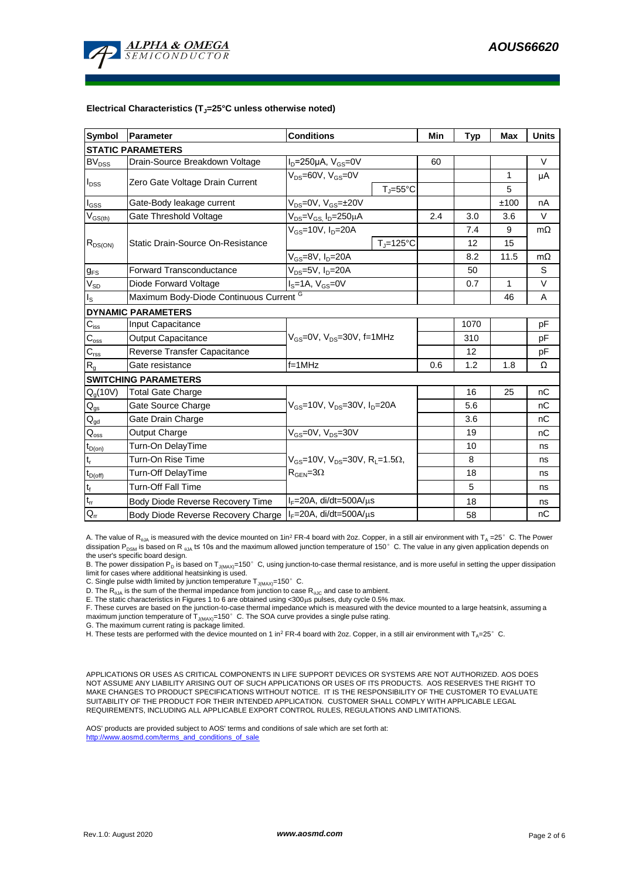

#### **Electrical Characteristics (TJ=25°C unless otherwise noted)**

| <b>Symbol</b>                  | Parameter                                          | <b>Conditions</b>                                                                                        | Min                          | <b>Typ</b> | <b>Max</b> | <b>Units</b> |           |  |  |
|--------------------------------|----------------------------------------------------|----------------------------------------------------------------------------------------------------------|------------------------------|------------|------------|--------------|-----------|--|--|
| <b>STATIC PARAMETERS</b>       |                                                    |                                                                                                          |                              |            |            |              |           |  |  |
| <b>BV<sub>DSS</sub></b>        | Drain-Source Breakdown Voltage                     | $I_D = 250 \mu A$ , $V_{GS} = 0V$                                                                        |                              | 60         |            |              | V         |  |  |
| $I_{DSS}$                      |                                                    | $V_{DS}$ =60V, $V_{GS}$ =0V                                                                              |                              |            |            | 1            | μA        |  |  |
|                                | Zero Gate Voltage Drain Current                    |                                                                                                          | $T_{\text{J}} = 55^{\circ}C$ |            |            | 5            |           |  |  |
| $\mathsf{I}_{\mathsf{GSS}}$    | Gate-Body leakage current                          | $V_{DS} = 0V$ , $V_{GS} = \pm 20V$                                                                       |                              |            |            | ±100         | nA        |  |  |
| $\mathsf{V}_{\mathsf{GS(th)}}$ | Gate Threshold Voltage                             | $V_{DS} = V_{GS}$ , $I_D = 250 \mu A$                                                                    |                              | 2.4        | 3.0        | 3.6          | V         |  |  |
|                                |                                                    | $V_{GS}$ =10V, $I_D$ =20A                                                                                |                              |            | 7.4        | 9            | $m\Omega$ |  |  |
| $R_{DS(ON)}$                   | Static Drain-Source On-Resistance                  |                                                                                                          | $T_i = 125$ °C               |            | 12         | 15           |           |  |  |
|                                |                                                    | $V_{GS}$ =8V, $I_{D}$ =20A                                                                               |                              |            | 8.2        | 11.5         | $m\Omega$ |  |  |
| $g_{FS}$                       | Forward Transconductance                           | V <sub>ns</sub> =5V, I <sub>n</sub> =20A                                                                 |                              | 50         |            | S            |           |  |  |
| $V_{SD}$                       | Diode Forward Voltage                              | $I_S = 1A$ , $V_{GS} = 0V$                                                                               |                              | 0.7        | 1          | V            |           |  |  |
| I <sub>S</sub>                 | Maximum Body-Diode Continuous Current <sup>G</sup> |                                                                                                          |                              |            |            | 46           | A         |  |  |
|                                | <b>DYNAMIC PARAMETERS</b>                          |                                                                                                          |                              |            |            |              |           |  |  |
| $C_{\text{iss}}$               | <b>Input Capacitance</b>                           |                                                                                                          |                              |            | 1070       |              | pF        |  |  |
| $C_{\rm oss}$                  | Output Capacitance                                 | $V_{GS}$ =0V, $V_{DS}$ =30V, f=1MHz                                                                      |                              |            | 310        |              | pF        |  |  |
| $C_{\rm rss}$                  | Reverse Transfer Capacitance                       |                                                                                                          |                              | 12         |            | рF           |           |  |  |
| $\mathsf{R}_{\mathsf{g}}$      | Gate resistance                                    | $f = 1$ MHz                                                                                              |                              | 0.6        | 1.2        | 1.8          | Ω         |  |  |
|                                | <b>SWITCHING PARAMETERS</b>                        |                                                                                                          |                              |            |            |              |           |  |  |
| $Q_g(10V)$                     | <b>Total Gate Charge</b>                           |                                                                                                          |                              |            | 16         | 25           | nC        |  |  |
| $\mathsf{Q}_{\mathsf{gs}}$     | Gate Source Charge                                 | $V_{GS}$ =10V, $V_{DS}$ =30V, $I_{D}$ =20A                                                               |                              |            | 5.6        |              | nC        |  |  |
| $Q_{gd}$                       | Gate Drain Charge                                  |                                                                                                          |                              |            | 3.6        |              | nC        |  |  |
| $\mathsf{Q}_{\mathsf{oss}}$    | Output Charge                                      | $V_{GS}$ =0V, $V_{DS}$ =30V                                                                              |                              |            | 19         |              | nC        |  |  |
| $t_{D(on)}$                    | Turn-On DelayTime                                  |                                                                                                          |                              |            | 10         |              | ns        |  |  |
| $t_r$                          | Turn-On Rise Time                                  | $V_{\text{GS}}$ =10V, $V_{\text{DS}}$ =30V, R <sub>1</sub> =1.5 $\Omega$ ,<br>$R_{\text{GEN}} = 3\Omega$ |                              |            | 8          |              | ns        |  |  |
| $\mathrm{t}_{\mathsf{D(off)}}$ | Turn-Off DelayTime                                 |                                                                                                          |                              |            | 18         |              | ns        |  |  |
| $t_f$                          | <b>Turn-Off Fall Time</b>                          |                                                                                                          |                              |            | 5          |              | ns        |  |  |
| $\mathsf{t}_\mathsf{rr}$       | Body Diode Reverse Recovery Time                   | l <sub>F</sub> =20A, di/dt=500A/μs                                                                       |                              |            | 18         |              | ns        |  |  |
| $Q_{rr}$                       | Body Diode Reverse Recovery Charge                 | $I_F = 20A$ , di/dt=500A/ $\mu$ s                                                                        |                              |            | 58         |              | nC        |  |  |

A. The value of R<sub>0JA</sub> is measured with the device mounted on 1in<sup>2</sup> FR-4 board with 2oz. Copper, in a still air environment with T<sub>A</sub> =25°C. The Power dissipation P<sub>DSM</sub> is based on R <sub>0JA</sub> t≤ 10s and the maximum allowed junction temperature of 150°C. The value in any given application depends on the user's specific board design.

B. The power dissipation P<sub>D</sub> is based on T<sub>J(MAX)</sub>=150°C, using junction-to-case thermal resistance, and is more useful in setting the upper dissipation limit for cases where additional heatsinking is used.

C. Single pulse width limited by junction temperature  $T_{J(MAX)}$ =150°C.

D. The  $R_{aIA}$  is the sum of the thermal impedance from junction to case  $R_{aJC}$  and case to ambient.

E. The static characteristics in Figures 1 to 6 are obtained using <300µs pulses, duty cycle 0.5% max.

F. These curves are based on the junction-to-case thermal impedance which is measured with the device mounted to a large heatsink, assuming a<br>maximum junction temperature of T<sub>J(MAX)</sub>=150°C. The SOA curve provides a single

G. The maximum current rating is package limited.

H. These tests are performed with the device mounted on 1 in<sup>2</sup> FR-4 board with 2oz. Copper, in a still air environment with T<sub>A</sub>=25°C.

APPLICATIONS OR USES AS CRITICAL COMPONENTS IN LIFE SUPPORT DEVICES OR SYSTEMS ARE NOT AUTHORIZED. AOS DOES NOT ASSUME ANY LIABILITY ARISING OUT OF SUCH APPLICATIONS OR USES OF ITS PRODUCTS. AOS RESERVES THE RIGHT TO MAKE CHANGES TO PRODUCT SPECIFICATIONS WITHOUT NOTICE. IT IS THE RESPONSIBILITY OF THE CUSTOMER TO EVALUATE SUITABILITY OF THE PRODUCT FOR THEIR INTENDED APPLICATION. CUSTOMER SHALL COMPLY WITH APPLICABLE LEGAL REQUIREMENTS, INCLUDING ALL APPLICABLE EXPORT CONTROL RULES, REGULATIONS AND LIMITATIONS.

AOS' products are provided subject to AOS' terms and conditions of sale which are set forth at: http://www.aosmd.com/terms\_and\_conditions\_of\_sal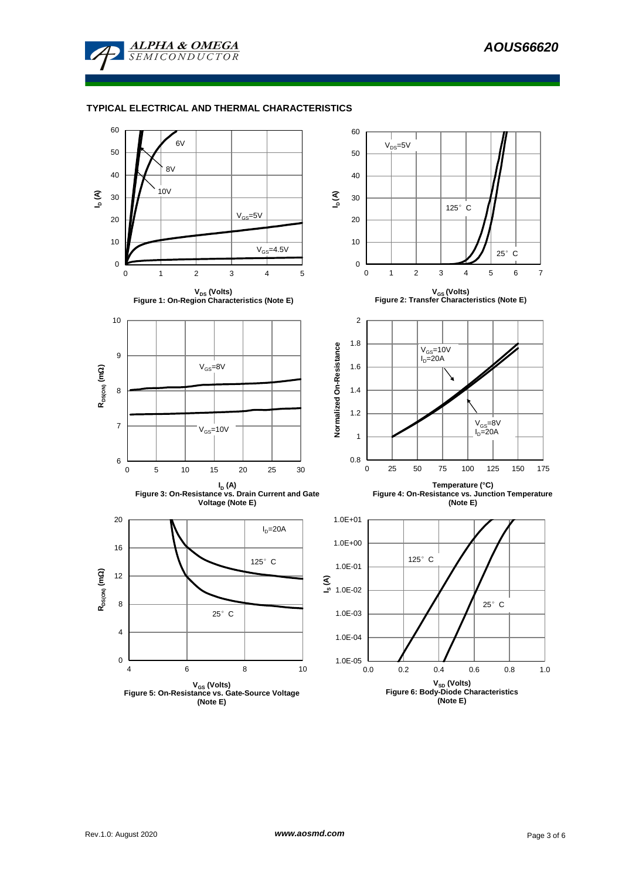

#### **TYPICAL ELECTRICAL AND THERMAL CHARACTERISTICS**

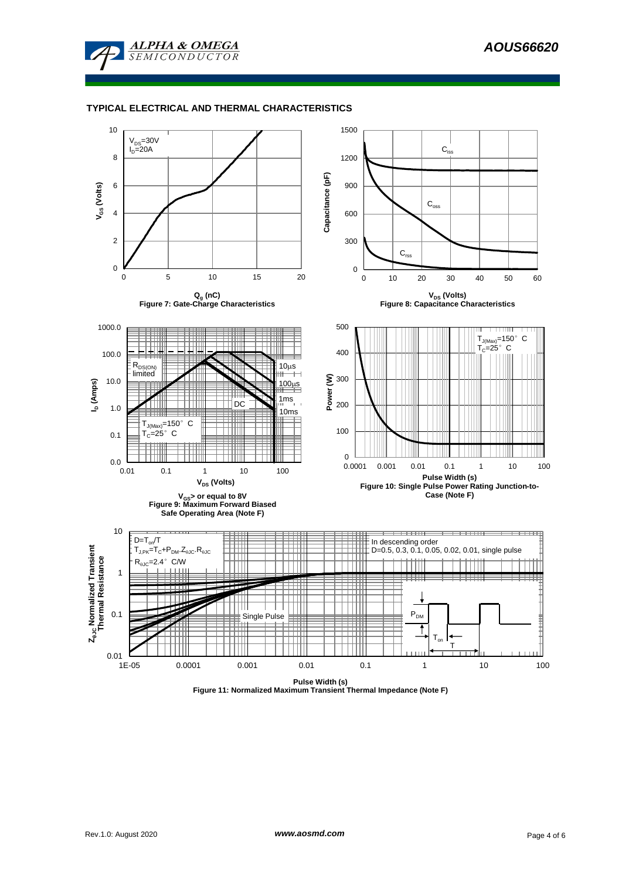

#### **TYPICAL ELECTRICAL AND THERMAL CHARACTERISTICS**

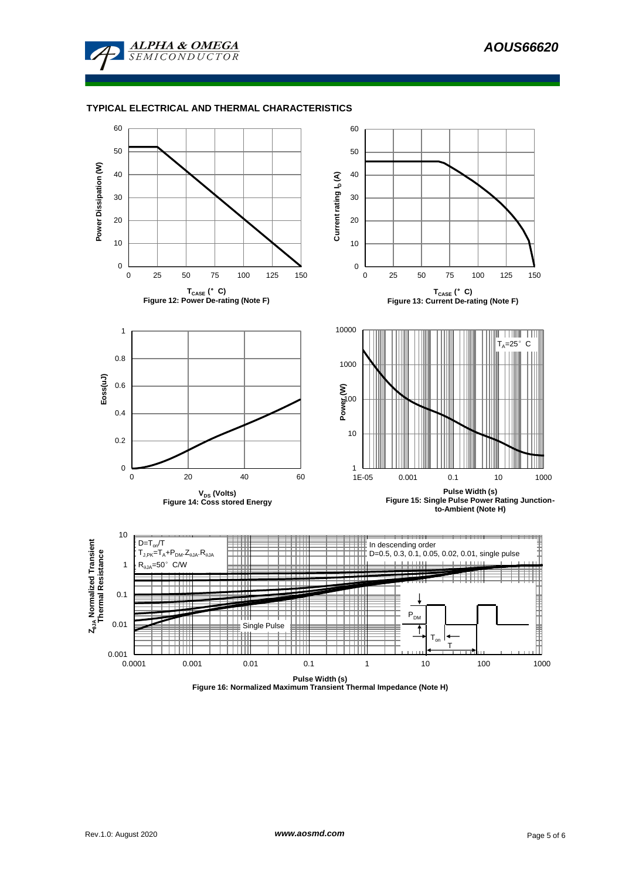

#### **TYPICAL ELECTRICAL AND THERMAL CHARACTERISTICS**



**Figure 16: Normalized Maximum Transient Thermal Impedance (Note H)**